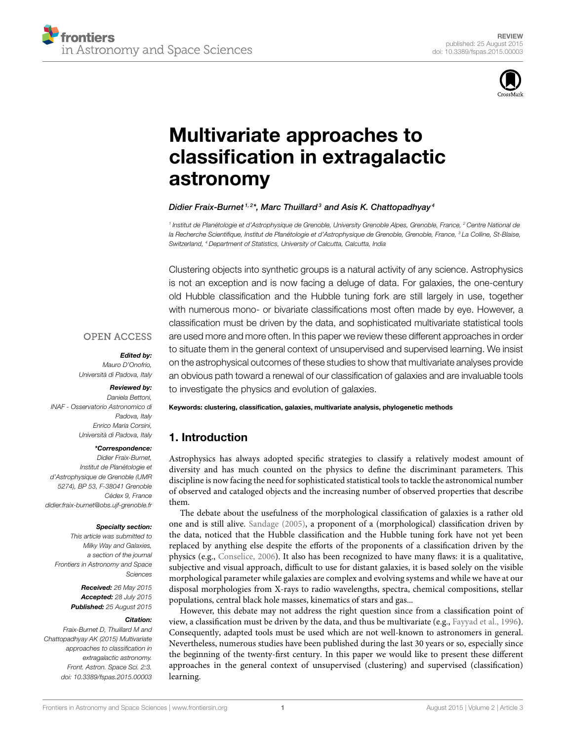

# Multivariate approaches to classification in extragalactic astronomy

#### Didier Fraix-Burnet <sup>1, 2\*</sup>, Marc Thuillard <sup>3</sup> and Asis K. Chattopadhyay <sup>4</sup>

<sup>1</sup> Institut de Planétologie et d'Astrophysique de Grenoble, University Grenoble Alpes, Grenoble, France, <sup>2</sup> Centre National de la Recherche Scientifique, Institut de Planétologie et d'Astrophysique de Grenoble, Grenoble, France, <sup>3</sup> La Colline, St-Blaise, Switzerland, <sup>4</sup> Department of Statistics, University of Calcutta, Calcutta, India

Clustering objects into synthetic groups is a natural activity of any science. Astrophysics is not an exception and is now facing a deluge of data. For galaxies, the one-century old Hubble classification and the Hubble tuning fork are still largely in use, together with numerous mono- or bivariate classifications most often made by eye. However, a classification must be driven by the data, and sophisticated multivariate statistical tools are used more and more often. In this paper we review these different approaches in order to situate them in the general context of unsupervised and supervised learning. We insist on the astrophysical outcomes of these studies to show that multivariate analyses provide an obvious path toward a renewal of our classification of galaxies and are invaluable tools to investigate the physics and evolution of galaxies.

#### **OPEN ACCESS**

#### Edited by:

Mauro D'Onofrio, Università di Padova, Italy

#### Reviewed by:

Daniela Bettoni, INAF - Osservatorio Astronomico di Padova, Italy Enrico Maria Corsini, Università di Padova, Italy

#### \*Correspondence:

Didier Fraix-Burnet, Institut de Planétologie et d'Astrophysique de Grenoble (UMR 5274), BP 53, F-38041 Grenoble Cédex 9, France didier.fraix-burnet@obs.ujf-grenoble.fr

#### Specialty section:

This article was submitted to Milky Way and Galaxies, a section of the journal Frontiers in Astronomy and Space **Sciences** 

> Received: 26 May 2015 Accepted: 28 July 2015 Published: 25 August 2015

#### Citation:

Fraix-Burnet D, Thuillard M and Chattopadhyay AK (2015) Multivariate approaches to classification in extragalactic astronomy. Front. Astron. Space Sci. 2:3. doi: 10.3389/fspas.2015.00003 Keywords: clustering, classification, galaxies, multivariate analysis, phylogenetic methods

# 1. Introduction

Astrophysics has always adopted specific strategies to classify a relatively modest amount of diversity and has much counted on the physics to define the discriminant parameters. This discipline is now facing the need for sophisticated statistical tools to tackle the astronomical number of observed and cataloged objects and the increasing number of observed properties that describe them.

The debate about the usefulness of the morphological classification of galaxies is a rather old one and is still alive. Sandage (2005), a proponent of a (morphological) classification driven by the data, noticed that the Hubble classification and the Hubble tuning fork have not yet been replaced by anything else despite the efforts of the proponents of a classification driven by the physics (e.g., Conselice, 2006). It also has been recognized to have many flaws: it is a qualitative, subjective and visual approach, difficult to use for distant galaxies, it is based solely on the visible morphological parameter while galaxies are complex and evolving systems and while we have at our disposal morphologies from X-rays to radio wavelengths, spectra, chemical compositions, stellar populations, central black hole masses, kinematics of stars and gas...

However, this debate may not address the right question since from a classification point of view, a classification must be driven by the data, and thus be multivariate (e.g., Fayyad et al., 1996). Consequently, adapted tools must be used which are not well-known to astronomers in general. Nevertheless, numerous studies have been published during the last 30 years or so, especially since the beginning of the twenty-first century. In this paper we would like to present these different approaches in the general context of unsupervised (clustering) and supervised (classification) learning.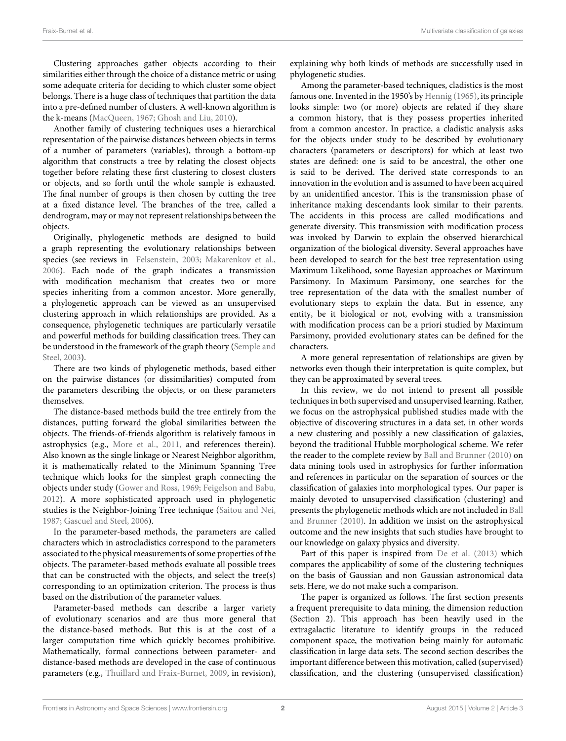Clustering approaches gather objects according to their similarities either through the choice of a distance metric or using some adequate criteria for deciding to which cluster some object belongs. There is a huge class of techniques that partition the data into a pre-defined number of clusters. A well-known algorithm is the k-means (MacQueen, 1967; Ghosh and Liu, 2010).

Another family of clustering techniques uses a hierarchical representation of the pairwise distances between objects in terms of a number of parameters (variables), through a bottom-up algorithm that constructs a tree by relating the closest objects together before relating these first clustering to closest clusters or objects, and so forth until the whole sample is exhausted. The final number of groups is then chosen by cutting the tree at a fixed distance level. The branches of the tree, called a dendrogram, may or may not represent relationships between the objects.

Originally, phylogenetic methods are designed to build a graph representing the evolutionary relationships between species (see reviews in Felsenstein, 2003; Makarenkov et al., 2006). Each node of the graph indicates a transmission with modification mechanism that creates two or more species inheriting from a common ancestor. More generally, a phylogenetic approach can be viewed as an unsupervised clustering approach in which relationships are provided. As a consequence, phylogenetic techniques are particularly versatile and powerful methods for building classification trees. They can be understood in the framework of the graph theory (Semple and Steel, 2003).

There are two kinds of phylogenetic methods, based either on the pairwise distances (or dissimilarities) computed from the parameters describing the objects, or on these parameters themselves.

The distance-based methods build the tree entirely from the distances, putting forward the global similarities between the objects. The friends-of-friends algorithm is relatively famous in astrophysics (e.g., More et al., 2011, and references therein). Also known as the single linkage or Nearest Neighbor algorithm, it is mathematically related to the Minimum Spanning Tree technique which looks for the simplest graph connecting the objects under study (Gower and Ross, 1969; Feigelson and Babu, 2012). A more sophisticated approach used in phylogenetic studies is the Neighbor-Joining Tree technique (Saitou and Nei, 1987; Gascuel and Steel, 2006).

In the parameter-based methods, the parameters are called characters which in astrocladistics correspond to the parameters associated to the physical measurements of some properties of the objects. The parameter-based methods evaluate all possible trees that can be constructed with the objects, and select the tree(s) corresponding to an optimization criterion. The process is thus based on the distribution of the parameter values.

Parameter-based methods can describe a larger variety of evolutionary scenarios and are thus more general that the distance-based methods. But this is at the cost of a larger computation time which quickly becomes prohibitive. Mathematically, formal connections between parameter- and distance-based methods are developed in the case of continuous parameters (e.g., Thuillard and Fraix-Burnet, 2009, in revision), explaining why both kinds of methods are successfully used in phylogenetic studies.

Among the parameter-based techniques, cladistics is the most famous one. Invented in the 1950's by Hennig (1965), its principle looks simple: two (or more) objects are related if they share a common history, that is they possess properties inherited from a common ancestor. In practice, a cladistic analysis asks for the objects under study to be described by evolutionary characters (parameters or descriptors) for which at least two states are defined: one is said to be ancestral, the other one is said to be derived. The derived state corresponds to an innovation in the evolution and is assumed to have been acquired by an unidentified ancestor. This is the transmission phase of inheritance making descendants look similar to their parents. The accidents in this process are called modifications and generate diversity. This transmission with modification process was invoked by Darwin to explain the observed hierarchical organization of the biological diversity. Several approaches have been developed to search for the best tree representation using Maximum Likelihood, some Bayesian approaches or Maximum Parsimony. In Maximum Parsimony, one searches for the tree representation of the data with the smallest number of evolutionary steps to explain the data. But in essence, any entity, be it biological or not, evolving with a transmission with modification process can be a priori studied by Maximum Parsimony, provided evolutionary states can be defined for the characters.

A more general representation of relationships are given by networks even though their interpretation is quite complex, but they can be approximated by several trees.

In this review, we do not intend to present all possible techniques in both supervised and unsupervised learning. Rather, we focus on the astrophysical published studies made with the objective of discovering structures in a data set, in other words a new clustering and possibly a new classification of galaxies, beyond the traditional Hubble morphological scheme. We refer the reader to the complete review by Ball and Brunner (2010) on data mining tools used in astrophysics for further information and references in particular on the separation of sources or the classification of galaxies into morphological types. Our paper is mainly devoted to unsupervised classification (clustering) and presents the phylogenetic methods which are not included in Ball and Brunner (2010). In addition we insist on the astrophysical outcome and the new insights that such studies have brought to our knowledge on galaxy physics and diversity.

Part of this paper is inspired from De et al. (2013) which compares the applicability of some of the clustering techniques on the basis of Gaussian and non Gaussian astronomical data sets. Here, we do not make such a comparison.

The paper is organized as follows. The first section presents a frequent prerequisite to data mining, the dimension reduction (Section 2). This approach has been heavily used in the extragalactic literature to identify groups in the reduced component space, the motivation being mainly for automatic classification in large data sets. The second section describes the important difference between this motivation, called (supervised) classification, and the clustering (unsupervised classification)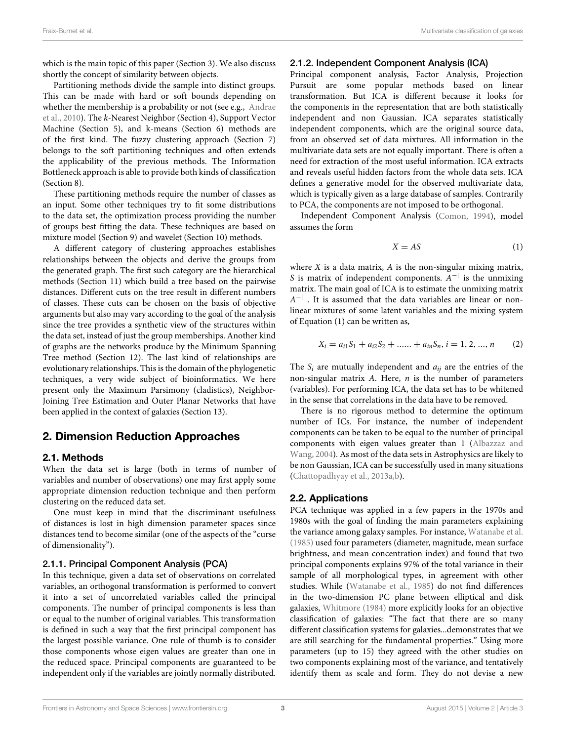which is the main topic of this paper (Section 3). We also discuss shortly the concept of similarity between objects.

Partitioning methods divide the sample into distinct groups. This can be made with hard or soft bounds depending on whether the membership is a probability or not (see e.g., Andrae et al., 2010). The k-Nearest Neighbor (Section 4), Support Vector Machine (Section 5), and k-means (Section 6) methods are of the first kind. The fuzzy clustering approach (Section 7) belongs to the soft partitioning techniques and often extends the applicability of the previous methods. The Information Bottleneck approach is able to provide both kinds of classification (Section 8).

These partitioning methods require the number of classes as an input. Some other techniques try to fit some distributions to the data set, the optimization process providing the number of groups best fitting the data. These techniques are based on mixture model (Section 9) and wavelet (Section 10) methods.

A different category of clustering approaches establishes relationships between the objects and derive the groups from the generated graph. The first such category are the hierarchical methods (Section 11) which build a tree based on the pairwise distances. Different cuts on the tree result in different numbers of classes. These cuts can be chosen on the basis of objective arguments but also may vary according to the goal of the analysis since the tree provides a synthetic view of the structures within the data set, instead of just the group memberships. Another kind of graphs are the networks produce by the Minimum Spanning Tree method (Section 12). The last kind of relationships are evolutionary relationships. This is the domain of the phylogenetic techniques, a very wide subject of bioinformatics. We here present only the Maximum Parsimony (cladistics), Neighbor-Joining Tree Estimation and Outer Planar Networks that have been applied in the context of galaxies (Section 13).

# 2. Dimension Reduction Approaches

## 2.1. Methods

When the data set is large (both in terms of number of variables and number of observations) one may first apply some appropriate dimension reduction technique and then perform clustering on the reduced data set.

One must keep in mind that the discriminant usefulness of distances is lost in high dimension parameter spaces since distances tend to become similar (one of the aspects of the "curse of dimensionality").

## 2.1.1. Principal Component Analysis (PCA)

In this technique, given a data set of observations on correlated variables, an orthogonal transformation is performed to convert it into a set of uncorrelated variables called the principal components. The number of principal components is less than or equal to the number of original variables. This transformation is defined in such a way that the first principal component has the largest possible variance. One rule of thumb is to consider those components whose eigen values are greater than one in the reduced space. Principal components are guaranteed to be independent only if the variables are jointly normally distributed.

#### 2.1.2. Independent Component Analysis (ICA)

Principal component analysis, Factor Analysis, Projection Pursuit are some popular methods based on linear transformation. But ICA is different because it looks for the components in the representation that are both statistically independent and non Gaussian. ICA separates statistically independent components, which are the original source data, from an observed set of data mixtures. All information in the multivariate data sets are not equally important. There is often a need for extraction of the most useful information. ICA extracts and reveals useful hidden factors from the whole data sets. ICA defines a generative model for the observed multivariate data, which is typically given as a large database of samples. Contrarily to PCA, the components are not imposed to be orthogonal.

Independent Component Analysis (Comon, 1994), model assumes the form

$$
X = AS \tag{1}
$$

where  $X$  is a data matrix,  $A$  is the non-singular mixing matrix, S is matrix of independent components.  $A^{-1}$  is the unmixing matrix. The main goal of ICA is to estimate the unmixing matrix  $A^{-|}$  . It is assumed that the data variables are linear or nonlinear mixtures of some latent variables and the mixing system of Equation (1) can be written as,

$$
X_i = a_{i1}S_1 + a_{i2}S_2 + \dots + a_{in}S_n, i = 1, 2, ..., n
$$
 (2)

The  $S_i$  are mutually independent and  $a_{ii}$  are the entries of the non-singular matrix  $A$ . Here,  $n$  is the number of parameters (variables). For performing ICA, the data set has to be whitened in the sense that correlations in the data have to be removed.

There is no rigorous method to determine the optimum number of ICs. For instance, the number of independent components can be taken to be equal to the number of principal components with eigen values greater than 1 (Albazzaz and Wang, 2004). As most of the data sets in Astrophysics are likely to be non Gaussian, ICA can be successfully used in many situations (Chattopadhyay et al., 2013a,b).

## 2.2. Applications

PCA technique was applied in a few papers in the 1970s and 1980s with the goal of finding the main parameters explaining the variance among galaxy samples. For instance, Watanabe et al. (1985) used four parameters (diameter, magnitude, mean surface brightness, and mean concentration index) and found that two principal components explains 97% of the total variance in their sample of all morphological types, in agreement with other studies. While (Watanabe et al., 1985) do not find differences in the two-dimension PC plane between elliptical and disk galaxies, Whitmore (1984) more explicitly looks for an objective classification of galaxies: "The fact that there are so many different classification systems for galaxies...demonstrates that we are still searching for the fundamental properties." Using more parameters (up to 15) they agreed with the other studies on two components explaining most of the variance, and tentatively identify them as scale and form. They do not devise a new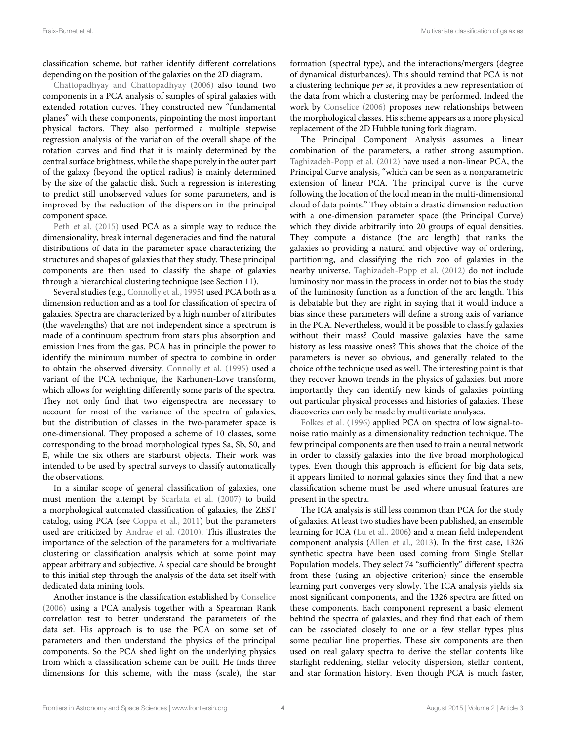classification scheme, but rather identify different correlations depending on the position of the galaxies on the 2D diagram.

Chattopadhyay and Chattopadhyay (2006) also found two components in a PCA analysis of samples of spiral galaxies with extended rotation curves. They constructed new "fundamental planes" with these components, pinpointing the most important physical factors. They also performed a multiple stepwise regression analysis of the variation of the overall shape of the rotation curves and find that it is mainly determined by the central surface brightness, while the shape purely in the outer part of the galaxy (beyond the optical radius) is mainly determined by the size of the galactic disk. Such a regression is interesting to predict still unobserved values for some parameters, and is improved by the reduction of the dispersion in the principal component space.

Peth et al. (2015) used PCA as a simple way to reduce the dimensionality, break internal degeneracies and find the natural distributions of data in the parameter space characterizing the structures and shapes of galaxies that they study. These principal components are then used to classify the shape of galaxies through a hierarchical clustering technique (see Section 11).

Several studies (e.g., Connolly et al., 1995) used PCA both as a dimension reduction and as a tool for classification of spectra of galaxies. Spectra are characterized by a high number of attributes (the wavelengths) that are not independent since a spectrum is made of a continuum spectrum from stars plus absorption and emission lines from the gas. PCA has in principle the power to identify the minimum number of spectra to combine in order to obtain the observed diversity. Connolly et al. (1995) used a variant of the PCA technique, the Karhunen-Love transform, which allows for weighting differently some parts of the spectra. They not only find that two eigenspectra are necessary to account for most of the variance of the spectra of galaxies, but the distribution of classes in the two-parameter space is one-dimensional. They proposed a scheme of 10 classes, some corresponding to the broad morphological types Sa, Sb, S0, and E, while the six others are starburst objects. Their work was intended to be used by spectral surveys to classify automatically the observations.

In a similar scope of general classification of galaxies, one must mention the attempt by Scarlata et al. (2007) to build a morphological automated classification of galaxies, the ZEST catalog, using PCA (see Coppa et al., 2011) but the parameters used are criticized by Andrae et al. (2010). This illustrates the importance of the selection of the parameters for a multivariate clustering or classification analysis which at some point may appear arbitrary and subjective. A special care should be brought to this initial step through the analysis of the data set itself with dedicated data mining tools.

Another instance is the classification established by Conselice (2006) using a PCA analysis together with a Spearman Rank correlation test to better understand the parameters of the data set. His approach is to use the PCA on some set of parameters and then understand the physics of the principal components. So the PCA shed light on the underlying physics from which a classification scheme can be built. He finds three dimensions for this scheme, with the mass (scale), the star formation (spectral type), and the interactions/mergers (degree of dynamical disturbances). This should remind that PCA is not a clustering technique per se, it provides a new representation of the data from which a clustering may be performed. Indeed the work by Conselice (2006) proposes new relationships between the morphological classes. His scheme appears as a more physical replacement of the 2D Hubble tuning fork diagram.

The Principal Component Analysis assumes a linear combination of the parameters, a rather strong assumption. Taghizadeh-Popp et al. (2012) have used a non-linear PCA, the Principal Curve analysis, "which can be seen as a nonparametric extension of linear PCA. The principal curve is the curve following the location of the local mean in the multi-dimensional cloud of data points." They obtain a drastic dimension reduction with a one-dimension parameter space (the Principal Curve) which they divide arbitrarily into 20 groups of equal densities. They compute a distance (the arc length) that ranks the galaxies so providing a natural and objective way of ordering, partitioning, and classifying the rich zoo of galaxies in the nearby universe. Taghizadeh-Popp et al. (2012) do not include luminosity nor mass in the process in order not to bias the study of the luminosity function as a function of the arc length. This is debatable but they are right in saying that it would induce a bias since these parameters will define a strong axis of variance in the PCA. Nevertheless, would it be possible to classify galaxies without their mass? Could massive galaxies have the same history as less massive ones? This shows that the choice of the parameters is never so obvious, and generally related to the choice of the technique used as well. The interesting point is that they recover known trends in the physics of galaxies, but more importantly they can identify new kinds of galaxies pointing out particular physical processes and histories of galaxies. These discoveries can only be made by multivariate analyses.

Folkes et al. (1996) applied PCA on spectra of low signal-tonoise ratio mainly as a dimensionality reduction technique. The few principal components are then used to train a neural network in order to classify galaxies into the five broad morphological types. Even though this approach is efficient for big data sets, it appears limited to normal galaxies since they find that a new classification scheme must be used where unusual features are present in the spectra.

The ICA analysis is still less common than PCA for the study of galaxies. At least two studies have been published, an ensemble learning for ICA (Lu et al., 2006) and a mean field independent component analysis (Allen et al., 2013). In the first case, 1326 synthetic spectra have been used coming from Single Stellar Population models. They select 74 "sufficiently" different spectra from these (using an objective criterion) since the ensemble learning part converges very slowly. The ICA analysis yields six most significant components, and the 1326 spectra are fitted on these components. Each component represent a basic element behind the spectra of galaxies, and they find that each of them can be associated closely to one or a few stellar types plus some peculiar line properties. These six components are then used on real galaxy spectra to derive the stellar contents like starlight reddening, stellar velocity dispersion, stellar content, and star formation history. Even though PCA is much faster,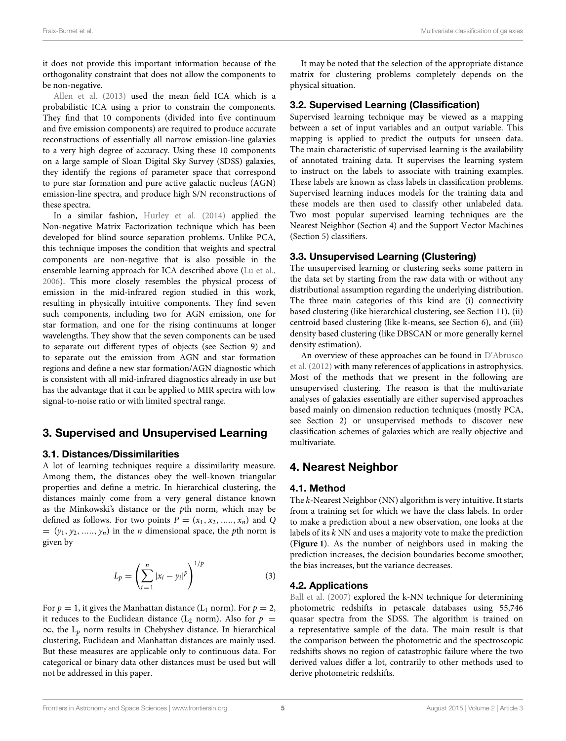it does not provide this important information because of the orthogonality constraint that does not allow the components to be non-negative.

Allen et al. (2013) used the mean field ICA which is a probabilistic ICA using a prior to constrain the components. They find that 10 components (divided into five continuum and five emission components) are required to produce accurate reconstructions of essentially all narrow emission-line galaxies to a very high degree of accuracy. Using these 10 components on a large sample of Sloan Digital Sky Survey (SDSS) galaxies, they identify the regions of parameter space that correspond to pure star formation and pure active galactic nucleus (AGN) emission-line spectra, and produce high S/N reconstructions of these spectra.

In a similar fashion, Hurley et al. (2014) applied the Non-negative Matrix Factorization technique which has been developed for blind source separation problems. Unlike PCA, this technique imposes the condition that weights and spectral components are non-negative that is also possible in the ensemble learning approach for ICA described above (Lu et al., 2006). This more closely resembles the physical process of emission in the mid-infrared region studied in this work, resulting in physically intuitive components. They find seven such components, including two for AGN emission, one for star formation, and one for the rising continuums at longer wavelengths. They show that the seven components can be used to separate out different types of objects (see Section 9) and to separate out the emission from AGN and star formation regions and define a new star formation/AGN diagnostic which is consistent with all mid-infrared diagnostics already in use but has the advantage that it can be applied to MIR spectra with low signal-to-noise ratio or with limited spectral range.

# 3. Supervised and Unsupervised Learning

## 3.1. Distances/Dissimilarities

A lot of learning techniques require a dissimilarity measure. Among them, the distances obey the well-known triangular properties and define a metric. In hierarchical clustering, the distances mainly come from a very general distance known as the Minkowski's distance or the pth norm, which may be defined as follows. For two points  $P = (x_1, x_2, \dots, x_n)$  and Q  $=(y_1, y_2, \ldots, y_n)$  in the *n* dimensional space, the *p*th norm is given by

$$
L_p = \left(\sum_{i=1}^n |x_i - y_i|^p\right)^{1/p}
$$
 (3)

For  $p = 1$ , it gives the Manhattan distance (L<sub>1</sub> norm). For  $p = 2$ , it reduces to the Euclidean distance ( $L_2$  norm). Also for  $p =$  $\infty$ , the L<sub>p</sub> norm results in Chebyshev distance. In hierarchical clustering, Euclidean and Manhattan distances are mainly used. But these measures are applicable only to continuous data. For categorical or binary data other distances must be used but will not be addressed in this paper.

It may be noted that the selection of the appropriate distance matrix for clustering problems completely depends on the physical situation.

## 3.2. Supervised Learning (Classification)

Supervised learning technique may be viewed as a mapping between a set of input variables and an output variable. This mapping is applied to predict the outputs for unseen data. The main characteristic of supervised learning is the availability of annotated training data. It supervises the learning system to instruct on the labels to associate with training examples. These labels are known as class labels in classification problems. Supervised learning induces models for the training data and these models are then used to classify other unlabeled data. Two most popular supervised learning techniques are the Nearest Neighbor (Section 4) and the Support Vector Machines (Section 5) classifiers.

## 3.3. Unsupervised Learning (Clustering)

The unsupervised learning or clustering seeks some pattern in the data set by starting from the raw data with or without any distributional assumption regarding the underlying distribution. The three main categories of this kind are (i) connectivity based clustering (like hierarchical clustering, see Section 11), (ii) centroid based clustering (like k-means, see Section 6), and (iii) density based clustering (like DBSCAN or more generally kernel density estimation).

An overview of these approaches can be found in D'Abrusco et al. (2012) with many references of applications in astrophysics. Most of the methods that we present in the following are unsupervised clustering. The reason is that the multivariate analyses of galaxies essentially are either supervised approaches based mainly on dimension reduction techniques (mostly PCA, see Section 2) or unsupervised methods to discover new classification schemes of galaxies which are really objective and multivariate.

# 4. Nearest Neighbor

## 4.1. Method

The k-Nearest Neighbor (NN) algorithm is very intuitive. It starts from a training set for which we have the class labels. In order to make a prediction about a new observation, one looks at the labels of its  $k$  NN and uses a majority vote to make the prediction (**Figure 1**). As the number of neighbors used in making the prediction increases, the decision boundaries become smoother, the bias increases, but the variance decreases.

## 4.2. Applications

Ball et al. (2007) explored the k-NN technique for determining photometric redshifts in petascale databases using 55,746 quasar spectra from the SDSS. The algorithm is trained on a representative sample of the data. The main result is that the comparison between the photometric and the spectroscopic redshifts shows no region of catastrophic failure where the two derived values differ a lot, contrarily to other methods used to derive photometric redshifts.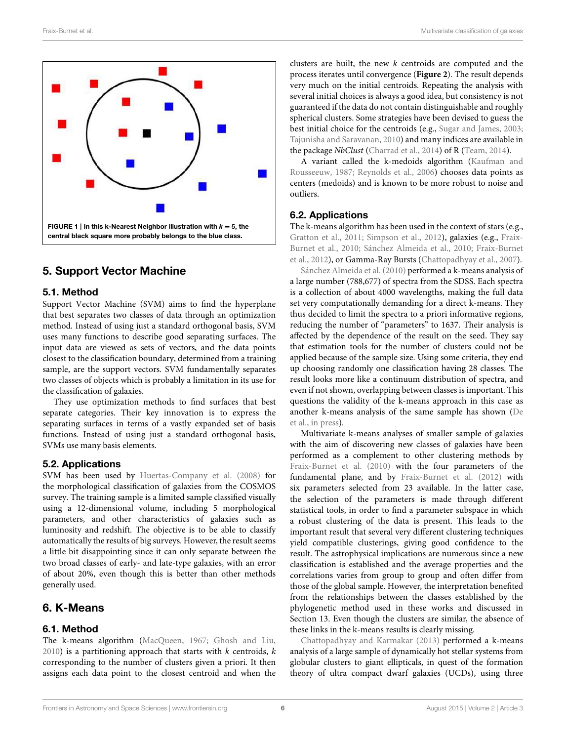

# 5. Support Vector Machine

## 5.1. Method

Support Vector Machine (SVM) aims to find the hyperplane that best separates two classes of data through an optimization method. Instead of using just a standard orthogonal basis, SVM uses many functions to describe good separating surfaces. The input data are viewed as sets of vectors, and the data points closest to the classification boundary, determined from a training sample, are the support vectors. SVM fundamentally separates two classes of objects which is probably a limitation in its use for the classification of galaxies.

They use optimization methods to find surfaces that best separate categories. Their key innovation is to express the separating surfaces in terms of a vastly expanded set of basis functions. Instead of using just a standard orthogonal basis, SVMs use many basis elements.

## 5.2. Applications

SVM has been used by Huertas-Company et al. (2008) for the morphological classification of galaxies from the COSMOS survey. The training sample is a limited sample classified visually using a 12-dimensional volume, including 5 morphological parameters, and other characteristics of galaxies such as luminosity and redshift. The objective is to be able to classify automatically the results of big surveys. However, the result seems a little bit disappointing since it can only separate between the two broad classes of early- and late-type galaxies, with an error of about 20%, even though this is better than other methods generally used.

# 6. K-Means

## 6.1. Method

The k-means algorithm (MacQueen, 1967; Ghosh and Liu,  $2010$ ) is a partitioning approach that starts with k centroids, k corresponding to the number of clusters given a priori. It then assigns each data point to the closest centroid and when the

clusters are built, the new  $k$  centroids are computed and the process iterates until convergence (**Figure 2**). The result depends very much on the initial centroids. Repeating the analysis with several initial choices is always a good idea, but consistency is not guaranteed if the data do not contain distinguishable and roughly spherical clusters. Some strategies have been devised to guess the best initial choice for the centroids (e.g., Sugar and James, 2003; Tajunisha and Saravanan, 2010) and many indices are available in the package NbClust (Charrad et al., 2014) of R (Team, 2014).

A variant called the k-medoids algorithm (Kaufman and Rousseeuw, 1987; Reynolds et al., 2006) chooses data points as centers (medoids) and is known to be more robust to noise and outliers.

## 6.2. Applications

The k-means algorithm has been used in the context of stars (e.g., Gratton et al., 2011; Simpson et al., 2012), galaxies (e.g., Fraix-Burnet et al., 2010; Sánchez Almeida et al., 2010; Fraix-Burnet et al., 2012), or Gamma-Ray Bursts (Chattopadhyay et al., 2007).

Sánchez Almeida et al. (2010) performed a k-means analysis of a large number (788,677) of spectra from the SDSS. Each spectra is a collection of about 4000 wavelengths, making the full data set very computationally demanding for a direct k-means. They thus decided to limit the spectra to a priori informative regions, reducing the number of "parameters" to 1637. Their analysis is affected by the dependence of the result on the seed. They say that estimation tools for the number of clusters could not be applied because of the sample size. Using some criteria, they end up choosing randomly one classification having 28 classes. The result looks more like a continuum distribution of spectra, and even if not shown, overlapping between classes is important. This questions the validity of the k-means approach in this case as another k-means analysis of the same sample has shown (De et al., in press).

Multivariate k-means analyses of smaller sample of galaxies with the aim of discovering new classes of galaxies have been performed as a complement to other clustering methods by Fraix-Burnet et al. (2010) with the four parameters of the fundamental plane, and by Fraix-Burnet et al. (2012) with six parameters selected from 23 available. In the latter case, the selection of the parameters is made through different statistical tools, in order to find a parameter subspace in which a robust clustering of the data is present. This leads to the important result that several very different clustering techniques yield compatible clusterings, giving good confidence to the result. The astrophysical implications are numerous since a new classification is established and the average properties and the correlations varies from group to group and often differ from those of the global sample. However, the interpretation benefited from the relationships between the classes established by the phylogenetic method used in these works and discussed in Section 13. Even though the clusters are similar, the absence of these links in the k-means results is clearly missing.

Chattopadhyay and Karmakar (2013) performed a k-means analysis of a large sample of dynamically hot stellar systems from globular clusters to giant ellipticals, in quest of the formation theory of ultra compact dwarf galaxies (UCDs), using three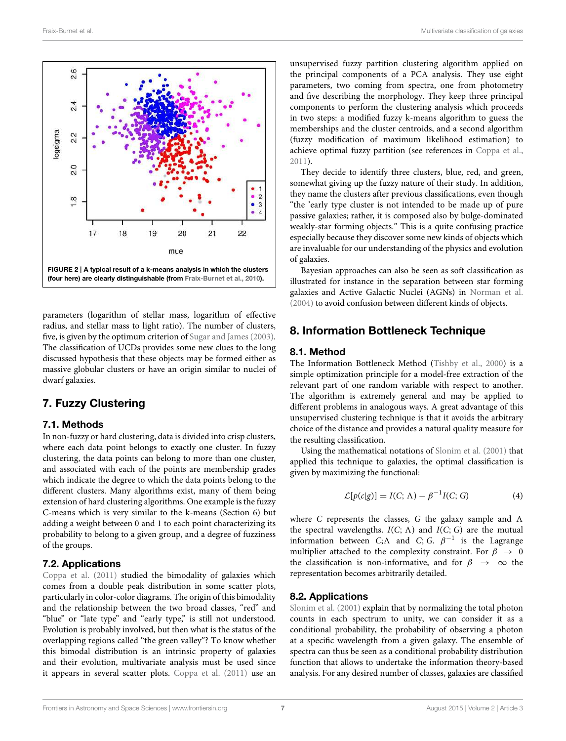

parameters (logarithm of stellar mass, logarithm of effective radius, and stellar mass to light ratio). The number of clusters, five, is given by the optimum criterion of Sugar and James (2003). The classification of UCDs provides some new clues to the long discussed hypothesis that these objects may be formed either as massive globular clusters or have an origin similar to nuclei of dwarf galaxies.

# 7. Fuzzy Clustering

## 7.1. Methods

In non-fuzzy or hard clustering, data is divided into crisp clusters, where each data point belongs to exactly one cluster. In fuzzy clustering, the data points can belong to more than one cluster, and associated with each of the points are membership grades which indicate the degree to which the data points belong to the different clusters. Many algorithms exist, many of them being extension of hard clustering algorithms. One example is the fuzzy C-means which is very similar to the k-means (Section 6) but adding a weight between 0 and 1 to each point characterizing its probability to belong to a given group, and a degree of fuzziness of the groups.

## 7.2. Applications

Coppa et al. (2011) studied the bimodality of galaxies which comes from a double peak distribution in some scatter plots, particularly in color-color diagrams. The origin of this bimodality and the relationship between the two broad classes, "red" and "blue" or "late type" and "early type," is still not understood. Evolution is probably involved, but then what is the status of the overlapping regions called "the green valley"? To know whether this bimodal distribution is an intrinsic property of galaxies and their evolution, multivariate analysis must be used since it appears in several scatter plots. Coppa et al. (2011) use an unsupervised fuzzy partition clustering algorithm applied on the principal components of a PCA analysis. They use eight parameters, two coming from spectra, one from photometry and five describing the morphology. They keep three principal components to perform the clustering analysis which proceeds in two steps: a modified fuzzy k-means algorithm to guess the memberships and the cluster centroids, and a second algorithm (fuzzy modification of maximum likelihood estimation) to achieve optimal fuzzy partition (see references in Coppa et al., 2011).

They decide to identify three clusters, blue, red, and green, somewhat giving up the fuzzy nature of their study. In addition, they name the clusters after previous classifications, even though "the 'early type cluster is not intended to be made up of pure passive galaxies; rather, it is composed also by bulge-dominated weakly-star forming objects." This is a quite confusing practice especially because they discover some new kinds of objects which are invaluable for our understanding of the physics and evolution of galaxies.

Bayesian approaches can also be seen as soft classification as illustrated for instance in the separation between star forming galaxies and Active Galactic Nuclei (AGNs) in Norman et al. (2004) to avoid confusion between different kinds of objects.

# 8. Information Bottleneck Technique

#### 8.1. Method

The Information Bottleneck Method (Tishby et al., 2000) is a simple optimization principle for a model-free extraction of the relevant part of one random variable with respect to another. The algorithm is extremely general and may be applied to different problems in analogous ways. A great advantage of this unsupervised clustering technique is that it avoids the arbitrary choice of the distance and provides a natural quality measure for the resulting classification.

Using the mathematical notations of Slonim et al. (2001) that applied this technique to galaxies, the optimal classification is given by maximizing the functional:

$$
\mathcal{L}[p(c|g)] = I(C; \Lambda) - \beta^{-1}I(C; G)
$$
 (4)

where C represents the classes, G the galaxy sample and  $\Lambda$ the spectral wavelengths.  $I(C; \Lambda)$  and  $I(C; G)$  are the mutual information between C; $\Lambda$  and C; G.  $\beta^{-1}$  is the Lagrange multiplier attached to the complexity constraint. For  $\beta \rightarrow 0$ the classification is non-informative, and for  $\beta \rightarrow \infty$  the representation becomes arbitrarily detailed.

## 8.2. Applications

Slonim et al. (2001) explain that by normalizing the total photon counts in each spectrum to unity, we can consider it as a conditional probability, the probability of observing a photon at a specific wavelength from a given galaxy. The ensemble of spectra can thus be seen as a conditional probability distribution function that allows to undertake the information theory-based analysis. For any desired number of classes, galaxies are classified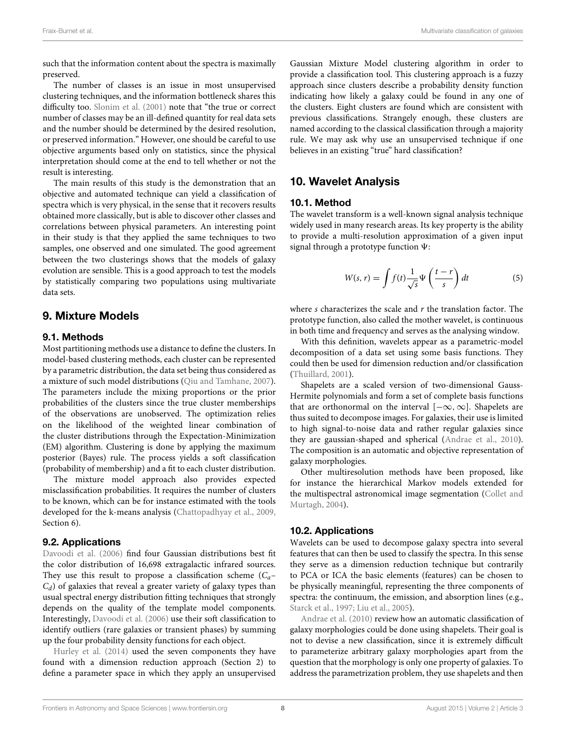such that the information content about the spectra is maximally preserved.

The number of classes is an issue in most unsupervised clustering techniques, and the information bottleneck shares this difficulty too. Slonim et al. (2001) note that "the true or correct number of classes may be an ill-defined quantity for real data sets and the number should be determined by the desired resolution, or preserved information." However, one should be careful to use objective arguments based only on statistics, since the physical interpretation should come at the end to tell whether or not the result is interesting.

The main results of this study is the demonstration that an objective and automated technique can yield a classification of spectra which is very physical, in the sense that it recovers results obtained more classically, but is able to discover other classes and correlations between physical parameters. An interesting point in their study is that they applied the same techniques to two samples, one observed and one simulated. The good agreement between the two clusterings shows that the models of galaxy evolution are sensible. This is a good approach to test the models by statistically comparing two populations using multivariate data sets.

## 9. Mixture Models

#### 9.1. Methods

Most partitioning methods use a distance to define the clusters. In model-based clustering methods, each cluster can be represented by a parametric distribution, the data set being thus considered as a mixture of such model distributions (Qiu and Tamhane, 2007). The parameters include the mixing proportions or the prior probabilities of the clusters since the true cluster memberships of the observations are unobserved. The optimization relies on the likelihood of the weighted linear combination of the cluster distributions through the Expectation-Minimization (EM) algorithm. Clustering is done by applying the maximum posterior (Bayes) rule. The process yields a soft classification (probability of membership) and a fit to each cluster distribution.

The mixture model approach also provides expected misclassification probabilities. It requires the number of clusters to be known, which can be for instance estimated with the tools developed for the k-means analysis (Chattopadhyay et al., 2009, Section 6).

#### 9.2. Applications

Davoodi et al. (2006) find four Gaussian distributions best fit the color distribution of 16,698 extragalactic infrared sources. They use this result to propose a classification scheme  $(C_a$ - $C_d$ ) of galaxies that reveal a greater variety of galaxy types than usual spectral energy distribution fitting techniques that strongly depends on the quality of the template model components. Interestingly, Davoodi et al. (2006) use their soft classification to identify outliers (rare galaxies or transient phases) by summing up the four probability density functions for each object.

Hurley et al. (2014) used the seven components they have found with a dimension reduction approach (Section 2) to define a parameter space in which they apply an unsupervised Gaussian Mixture Model clustering algorithm in order to provide a classification tool. This clustering approach is a fuzzy approach since clusters describe a probability density function indicating how likely a galaxy could be found in any one of the clusters. Eight clusters are found which are consistent with previous classifications. Strangely enough, these clusters are named according to the classical classification through a majority rule. We may ask why use an unsupervised technique if one believes in an existing "true" hard classification?

## 10. Wavelet Analysis

#### 10.1. Method

The wavelet transform is a well-known signal analysis technique widely used in many research areas. Its key property is the ability to provide a multi-resolution approximation of a given input signal through a prototype function  $\Psi$ :

$$
W(s,r) = \int f(t) \frac{1}{\sqrt{s}} \Psi\left(\frac{t-r}{s}\right) dt \tag{5}
$$

where s characterizes the scale and  $r$  the translation factor. The prototype function, also called the mother wavelet, is continuous in both time and frequency and serves as the analysing window.

With this definition, wavelets appear as a parametric-model decomposition of a data set using some basis functions. They could then be used for dimension reduction and/or classification (Thuillard, 2001).

Shapelets are a scaled version of two-dimensional Gauss-Hermite polynomials and form a set of complete basis functions that are orthonormal on the interval  $[-\infty, \infty]$ . Shapelets are thus suited to decompose images. For galaxies, their use is limited to high signal-to-noise data and rather regular galaxies since they are gaussian-shaped and spherical (Andrae et al., 2010). The composition is an automatic and objective representation of galaxy morphologies.

Other multiresolution methods have been proposed, like for instance the hierarchical Markov models extended for the multispectral astronomical image segmentation (Collet and Murtagh, 2004).

#### 10.2. Applications

Wavelets can be used to decompose galaxy spectra into several features that can then be used to classify the spectra. In this sense they serve as a dimension reduction technique but contrarily to PCA or ICA the basic elements (features) can be chosen to be physically meaningful, representing the three components of spectra: the continuum, the emission, and absorption lines (e.g., Starck et al., 1997; Liu et al., 2005).

Andrae et al. (2010) review how an automatic classification of galaxy morphologies could be done using shapelets. Their goal is not to devise a new classification, since it is extremely difficult to parameterize arbitrary galaxy morphologies apart from the question that the morphology is only one property of galaxies. To address the parametrization problem, they use shapelets and then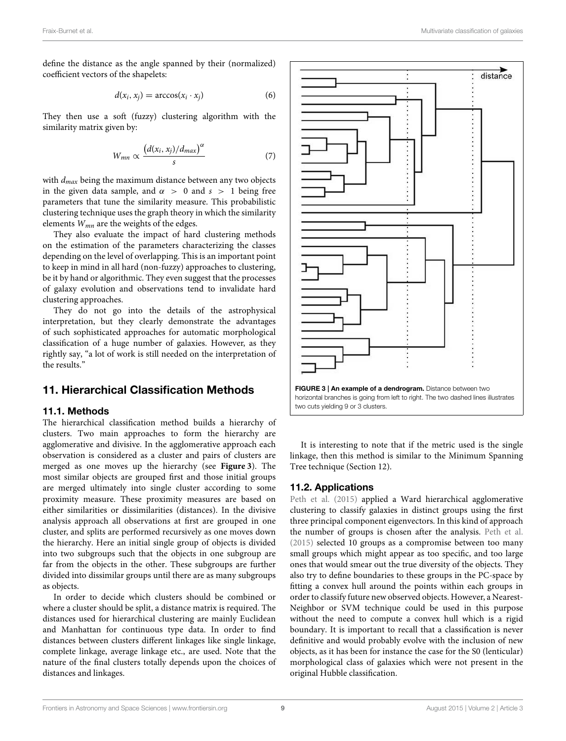define the distance as the angle spanned by their (normalized) coefficient vectors of the shapelets:

$$
d(x_i, x_j) = \arccos(x_i \cdot x_j) \tag{6}
$$

They then use a soft (fuzzy) clustering algorithm with the similarity matrix given by:

$$
W_{mn} \propto \frac{\left(d(x_i, x_j)/d_{max}\right)^{\alpha}}{s} \tag{7}
$$

with  $d_{max}$  being the maximum distance between any two objects in the given data sample, and  $\alpha > 0$  and  $s > 1$  being free parameters that tune the similarity measure. This probabilistic clustering technique uses the graph theory in which the similarity elements  $W_{mn}$  are the weights of the edges.

They also evaluate the impact of hard clustering methods on the estimation of the parameters characterizing the classes depending on the level of overlapping. This is an important point to keep in mind in all hard (non-fuzzy) approaches to clustering, be it by hand or algorithmic. They even suggest that the processes of galaxy evolution and observations tend to invalidate hard clustering approaches.

They do not go into the details of the astrophysical interpretation, but they clearly demonstrate the advantages of such sophisticated approaches for automatic morphological classification of a huge number of galaxies. However, as they rightly say, "a lot of work is still needed on the interpretation of the results."

## 11. Hierarchical Classification Methods

#### 11.1. Methods

The hierarchical classification method builds a hierarchy of clusters. Two main approaches to form the hierarchy are agglomerative and divisive. In the agglomerative approach each observation is considered as a cluster and pairs of clusters are merged as one moves up the hierarchy (see **Figure 3**). The most similar objects are grouped first and those initial groups are merged ultimately into single cluster according to some proximity measure. These proximity measures are based on either similarities or dissimilarities (distances). In the divisive analysis approach all observations at first are grouped in one cluster, and splits are performed recursively as one moves down the hierarchy. Here an initial single group of objects is divided into two subgroups such that the objects in one subgroup are far from the objects in the other. These subgroups are further divided into dissimilar groups until there are as many subgroups as objects.

In order to decide which clusters should be combined or where a cluster should be split, a distance matrix is required. The distances used for hierarchical clustering are mainly Euclidean and Manhattan for continuous type data. In order to find distances between clusters different linkages like single linkage, complete linkage, average linkage etc., are used. Note that the nature of the final clusters totally depends upon the choices of distances and linkages.



It is interesting to note that if the metric used is the single linkage, then this method is similar to the Minimum Spanning Tree technique (Section 12).

## 11.2. Applications

Peth et al. (2015) applied a Ward hierarchical agglomerative clustering to classify galaxies in distinct groups using the first three principal component eigenvectors. In this kind of approach the number of groups is chosen after the analysis. Peth et al. (2015) selected 10 groups as a compromise between too many small groups which might appear as too specific, and too large ones that would smear out the true diversity of the objects. They also try to define boundaries to these groups in the PC-space by fitting a convex hull around the points within each groups in order to classify future new observed objects. However, a Nearest-Neighbor or SVM technique could be used in this purpose without the need to compute a convex hull which is a rigid boundary. It is important to recall that a classification is never definitive and would probably evolve with the inclusion of new objects, as it has been for instance the case for the S0 (lenticular) morphological class of galaxies which were not present in the original Hubble classification.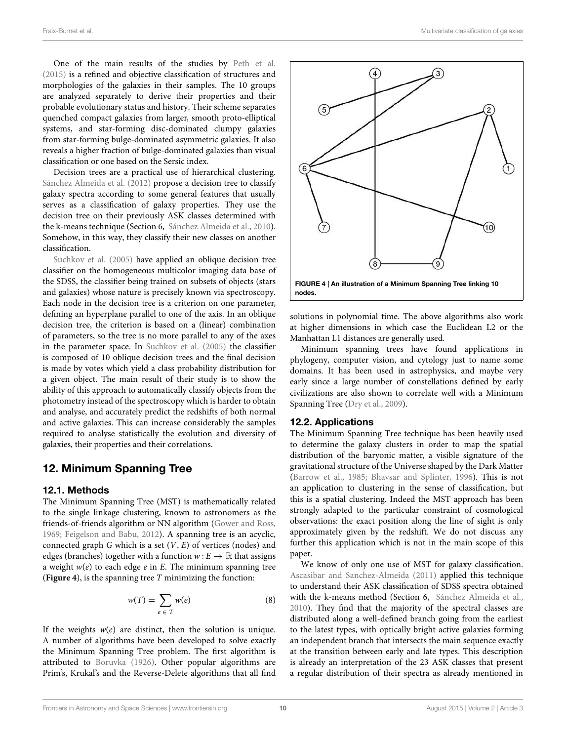One of the main results of the studies by Peth et al. (2015) is a refined and objective classification of structures and morphologies of the galaxies in their samples. The 10 groups are analyzed separately to derive their properties and their probable evolutionary status and history. Their scheme separates quenched compact galaxies from larger, smooth proto-elliptical systems, and star-forming disc-dominated clumpy galaxies from star-forming bulge-dominated asymmetric galaxies. It also reveals a higher fraction of bulge-dominated galaxies than visual classification or one based on the Sersic index.

Decision trees are a practical use of hierarchical clustering. Sánchez Almeida et al. (2012) propose a decision tree to classify galaxy spectra according to some general features that usually serves as a classification of galaxy properties. They use the decision tree on their previously ASK classes determined with the k-means technique (Section 6, Sánchez Almeida et al., 2010). Somehow, in this way, they classify their new classes on another classification.

Suchkov et al. (2005) have applied an oblique decision tree classifier on the homogeneous multicolor imaging data base of the SDSS, the classifier being trained on subsets of objects (stars and galaxies) whose nature is precisely known via spectroscopy. Each node in the decision tree is a criterion on one parameter, defining an hyperplane parallel to one of the axis. In an oblique decision tree, the criterion is based on a (linear) combination of parameters, so the tree is no more parallel to any of the axes in the parameter space. In Suchkov et al. (2005) the classifier is composed of 10 oblique decision trees and the final decision is made by votes which yield a class probability distribution for a given object. The main result of their study is to show the ability of this approach to automatically classify objects from the photometry instead of the spectroscopy which is harder to obtain and analyse, and accurately predict the redshifts of both normal and active galaxies. This can increase considerably the samples required to analyse statistically the evolution and diversity of galaxies, their properties and their correlations.

## 12. Minimum Spanning Tree

#### 12.1. Methods

The Minimum Spanning Tree (MST) is mathematically related to the single linkage clustering, known to astronomers as the friends-of-friends algorithm or NN algorithm (Gower and Ross, 1969; Feigelson and Babu, 2012). A spanning tree is an acyclic, connected graph  $G$  which is a set  $(V, E)$  of vertices (nodes) and edges (branches) together with a function  $w : E \to \mathbb{R}$  that assigns a weight  $w(e)$  to each edge  $e$  in  $E$ . The minimum spanning tree (**Figure 4**), is the spanning tree T minimizing the function:

$$
w(T) = \sum_{e \in T} w(e) \tag{8}
$$

If the weights  $w(e)$  are distinct, then the solution is unique. A number of algorithms have been developed to solve exactly the Minimum Spanning Tree problem. The first algorithm is attributed to Boruvka (1926). Other popular algorithms are Prim's, Krukal's and the Reverse-Delete algorithms that all find



nodes.

solutions in polynomial time. The above algorithms also work at higher dimensions in which case the Euclidean L2 or the Manhattan L1 distances are generally used.

Minimum spanning trees have found applications in phylogeny, computer vision, and cytology just to name some domains. It has been used in astrophysics, and maybe very early since a large number of constellations defined by early civilizations are also shown to correlate well with a Minimum Spanning Tree (Dry et al., 2009).

#### 12.2. Applications

The Minimum Spanning Tree technique has been heavily used to determine the galaxy clusters in order to map the spatial distribution of the baryonic matter, a visible signature of the gravitational structure of the Universe shaped by the Dark Matter (Barrow et al., 1985; Bhavsar and Splinter, 1996). This is not an application to clustering in the sense of classification, but this is a spatial clustering. Indeed the MST approach has been strongly adapted to the particular constraint of cosmological observations: the exact position along the line of sight is only approximately given by the redshift. We do not discuss any further this application which is not in the main scope of this paper.

We know of only one use of MST for galaxy classification. Ascasibar and Sanchez-Almeida (2011) applied this technique to understand their ASK classification of SDSS spectra obtained with the k-means method (Section 6, Sánchez Almeida et al., 2010). They find that the majority of the spectral classes are distributed along a well-defined branch going from the earliest to the latest types, with optically bright active galaxies forming an independent branch that intersects the main sequence exactly at the transition between early and late types. This description is already an interpretation of the 23 ASK classes that present a regular distribution of their spectra as already mentioned in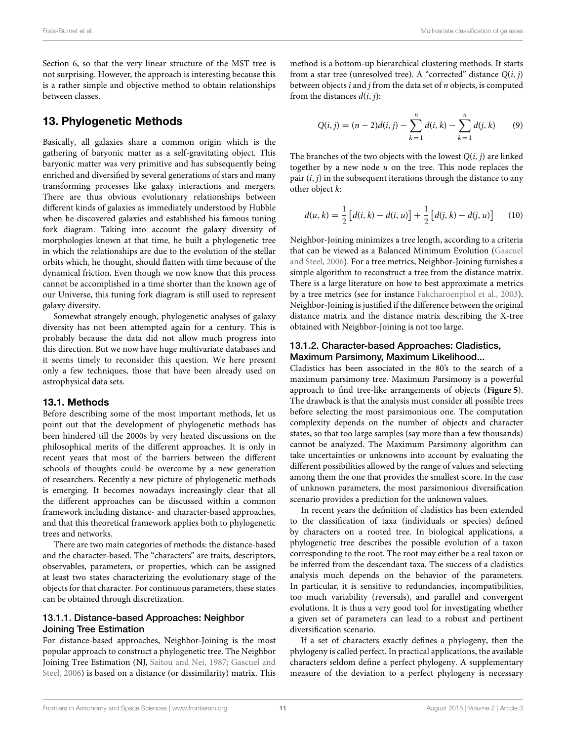Section 6, so that the very linear structure of the MST tree is not surprising. However, the approach is interesting because this is a rather simple and objective method to obtain relationships between classes.

# 13. Phylogenetic Methods

Basically, all galaxies share a common origin which is the gathering of baryonic matter as a self-gravitating object. This baryonic matter was very primitive and has subsequently being enriched and diversified by several generations of stars and many transforming processes like galaxy interactions and mergers. There are thus obvious evolutionary relationships between different kinds of galaxies as immediately understood by Hubble when he discovered galaxies and established his famous tuning fork diagram. Taking into account the galaxy diversity of morphologies known at that time, he built a phylogenetic tree in which the relationships are due to the evolution of the stellar orbits which, he thought, should flatten with time because of the dynamical friction. Even though we now know that this process cannot be accomplished in a time shorter than the known age of our Universe, this tuning fork diagram is still used to represent galaxy diversity.

Somewhat strangely enough, phylogenetic analyses of galaxy diversity has not been attempted again for a century. This is probably because the data did not allow much progress into this direction. But we now have huge multivariate databases and it seems timely to reconsider this question. We here present only a few techniques, those that have been already used on astrophysical data sets.

## 13.1. Methods

Before describing some of the most important methods, let us point out that the development of phylogenetic methods has been hindered till the 2000s by very heated discussions on the philosophical merits of the different approaches. It is only in recent years that most of the barriers between the different schools of thoughts could be overcome by a new generation of researchers. Recently a new picture of phylogenetic methods is emerging. It becomes nowadays increasingly clear that all the different approaches can be discussed within a common framework including distance- and character-based approaches, and that this theoretical framework applies both to phylogenetic trees and networks.

There are two main categories of methods: the distance-based and the character-based. The "characters" are traits, descriptors, observables, parameters, or properties, which can be assigned at least two states characterizing the evolutionary stage of the objects for that character. For continuous parameters, these states can be obtained through discretization.

## 13.1.1. Distance-based Approaches: Neighbor Joining Tree Estimation

For distance-based approaches, Neighbor-Joining is the most popular approach to construct a phylogenetic tree. The Neighbor Joining Tree Estimation (NJ, Saitou and Nei, 1987; Gascuel and Steel, 2006) is based on a distance (or dissimilarity) matrix. This method is a bottom-up hierarchical clustering methods. It starts from a star tree (unresolved tree). A "corrected" distance  $Q(i, j)$ between objects  $i$  and  $j$  from the data set of  $n$  objects, is computed from the distances  $d(i, j)$ :

$$
Q(i, j) = (n-2)d(i, j) - \sum_{k=1}^{n} d(i, k) - \sum_{k=1}^{n} d(j, k)
$$
 (9)

The branches of the two objects with the lowest  $Q(i, j)$  are linked together by a new node  $u$  on the tree. This node replaces the pair  $(i, j)$  in the subsequent iterations through the distance to any other object k:

$$
d(u, k) = \frac{1}{2} [d(i, k) - d(i, u)] + \frac{1}{2} [d(j, k) - d(j, u)] \quad (10)
$$

Neighbor-Joining minimizes a tree length, according to a criteria that can be viewed as a Balanced Minimum Evolution (Gascuel and Steel, 2006). For a tree metrics, Neighbor-Joining furnishes a simple algorithm to reconstruct a tree from the distance matrix. There is a large literature on how to best approximate a metrics by a tree metrics (see for instance Fakcharoenphol et al., 2003). Neighbor-Joining is justified if the difference between the original distance matrix and the distance matrix describing the X-tree obtained with Neighbor-Joining is not too large.

#### 13.1.2. Character-based Approaches: Cladistics, Maximum Parsimony, Maximum Likelihood...

Cladistics has been associated in the 80's to the search of a maximum parsimony tree. Maximum Parsimony is a powerful approach to find tree-like arrangements of objects (**Figure 5**). The drawback is that the analysis must consider all possible trees before selecting the most parsimonious one. The computation complexity depends on the number of objects and character states, so that too large samples (say more than a few thousands) cannot be analyzed. The Maximum Parsimony algorithm can take uncertainties or unknowns into account by evaluating the different possibilities allowed by the range of values and selecting among them the one that provides the smallest score. In the case of unknown parameters, the most parsimonious diversification scenario provides a prediction for the unknown values.

In recent years the definition of cladistics has been extended to the classification of taxa (individuals or species) defined by characters on a rooted tree. In biological applications, a phylogenetic tree describes the possible evolution of a taxon corresponding to the root. The root may either be a real taxon or be inferred from the descendant taxa. The success of a cladistics analysis much depends on the behavior of the parameters. In particular, it is sensitive to redundancies, incompatibilities, too much variability (reversals), and parallel and convergent evolutions. It is thus a very good tool for investigating whether a given set of parameters can lead to a robust and pertinent diversification scenario.

If a set of characters exactly defines a phylogeny, then the phylogeny is called perfect. In practical applications, the available characters seldom define a perfect phylogeny. A supplementary measure of the deviation to a perfect phylogeny is necessary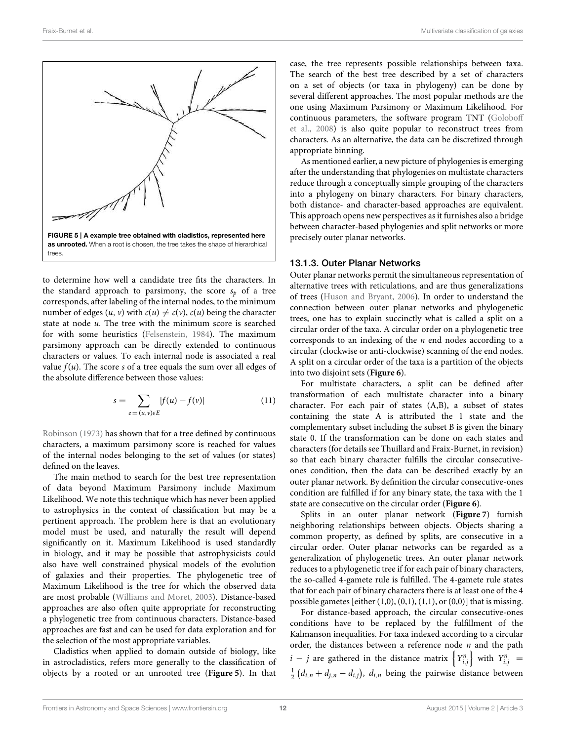

to determine how well a candidate tree fits the characters. In the standard approach to parsimony, the score  $s_p$  of a tree corresponds, after labeling of the internal nodes, to the minimum number of edges  $(u, v)$  with  $c(u) \neq c(v)$ ,  $c(u)$  being the character state at node  $u$ . The tree with the minimum score is searched for with some heuristics (Felsenstein, 1984). The maximum parsimony approach can be directly extended to continuous characters or values. To each internal node is associated a real value  $f(u)$ . The score s of a tree equals the sum over all edges of the absolute difference between those values:

$$
s = \sum_{e = (u, v) \in E} |f(u) - f(v)| \tag{11}
$$

Robinson (1973) has shown that for a tree defined by continuous characters, a maximum parsimony score is reached for values of the internal nodes belonging to the set of values (or states) defined on the leaves.

The main method to search for the best tree representation of data beyond Maximum Parsimony include Maximum Likelihood. We note this technique which has never been applied to astrophysics in the context of classification but may be a pertinent approach. The problem here is that an evolutionary model must be used, and naturally the result will depend significantly on it. Maximum Likelihood is used standardly in biology, and it may be possible that astrophysicists could also have well constrained physical models of the evolution of galaxies and their properties. The phylogenetic tree of Maximum Likelihood is the tree for which the observed data are most probable (Williams and Moret, 2003). Distance-based approaches are also often quite appropriate for reconstructing a phylogenetic tree from continuous characters. Distance-based approaches are fast and can be used for data exploration and for the selection of the most appropriate variables.

Cladistics when applied to domain outside of biology, like in astrocladistics, refers more generally to the classification of objects by a rooted or an unrooted tree (**Figure 5**). In that case, the tree represents possible relationships between taxa. The search of the best tree described by a set of characters on a set of objects (or taxa in phylogeny) can be done by several different approaches. The most popular methods are the one using Maximum Parsimony or Maximum Likelihood. For continuous parameters, the software program TNT (Goloboff et al., 2008) is also quite popular to reconstruct trees from characters. As an alternative, the data can be discretized through appropriate binning.

As mentioned earlier, a new picture of phylogenies is emerging after the understanding that phylogenies on multistate characters reduce through a conceptually simple grouping of the characters into a phylogeny on binary characters. For binary characters, both distance- and character-based approaches are equivalent. This approach opens new perspectives as it furnishes also a bridge between character-based phylogenies and split networks or more precisely outer planar networks.

#### 13.1.3. Outer Planar Networks

Outer planar networks permit the simultaneous representation of alternative trees with reticulations, and are thus generalizations of trees (Huson and Bryant, 2006). In order to understand the connection between outer planar networks and phylogenetic trees, one has to explain succinctly what is called a split on a circular order of the taxa. A circular order on a phylogenetic tree corresponds to an indexing of the  $n$  end nodes according to a circular (clockwise or anti-clockwise) scanning of the end nodes. A split on a circular order of the taxa is a partition of the objects into two disjoint sets (**Figure 6**).

For multistate characters, a split can be defined after transformation of each multistate character into a binary character. For each pair of states (A,B), a subset of states containing the state A is attributed the 1 state and the complementary subset including the subset B is given the binary state 0. If the transformation can be done on each states and characters (for details see Thuillard and Fraix-Burnet, in revision) so that each binary character fulfills the circular consecutiveones condition, then the data can be described exactly by an outer planar network. By definition the circular consecutive-ones condition are fulfilled if for any binary state, the taxa with the 1 state are consecutive on the circular order (**Figure 6**).

Splits in an outer planar network (**Figure 7**) furnish neighboring relationships between objects. Objects sharing a common property, as defined by splits, are consecutive in a circular order. Outer planar networks can be regarded as a generalization of phylogenetic trees. An outer planar network reduces to a phylogenetic tree if for each pair of binary characters, the so-called 4-gamete rule is fulfilled. The 4-gamete rule states that for each pair of binary characters there is at least one of the 4 possible gametes [either (1,0), (0,1), (1,1), or (0,0)] that is missing.

For distance-based approach, the circular consecutive-ones conditions have to be replaced by the fulfillment of the Kalmanson inequalities. For taxa indexed according to a circular order, the distances between a reference node  $n$  and the path  $i - j$  are gathered in the distance matrix  $\left\{Y_{i,j}^n\right\}$  with  $Y_{i,j}^n =$  $\frac{1}{2}(d_{i,n} + d_{j,n} - d_{i,j}), d_{i,n}$  being the pairwise distance between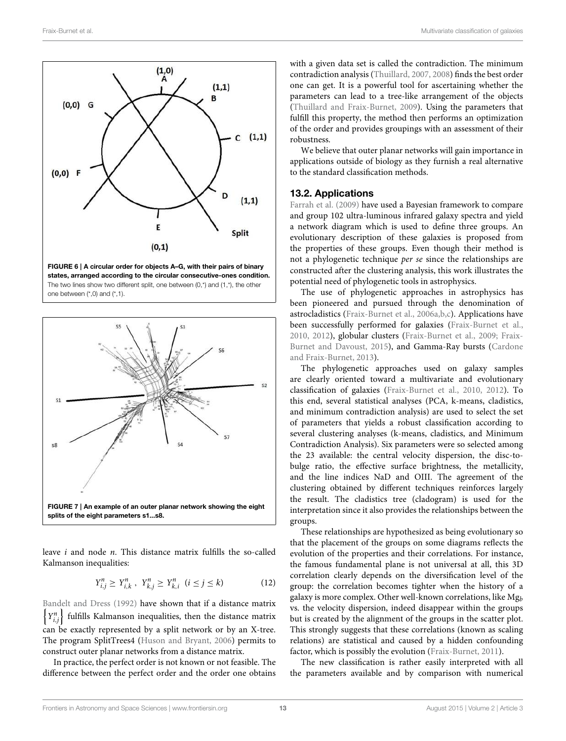

states, arranged according to the circular consecutive-ones condition. The two lines show two different split, one between (0,\*) and (1,\*), the other one between (\*,0) and (\*,1).



leave i and node n. This distance matrix fulfills the so-called Kalmanson inequalities:

$$
Y_{i,j}^n \ge Y_{i,k}^n \ , \ Y_{k,j}^n \ge Y_{k,i}^n \ (i \le j \le k) \tag{12}
$$

Bandelt and Dress (1992) have shown that if a distance matrix  $\left\{Y_{i,j}^n\right\}$ fulfills Kalmanson inequalities, then the distance matrix can be exactly represented by a split network or by an X-tree. The program SplitTrees4 (Huson and Bryant, 2006) permits to construct outer planar networks from a distance matrix.

In practice, the perfect order is not known or not feasible. The difference between the perfect order and the order one obtains with a given data set is called the contradiction. The minimum contradiction analysis (Thuillard, 2007, 2008) finds the best order one can get. It is a powerful tool for ascertaining whether the parameters can lead to a tree-like arrangement of the objects (Thuillard and Fraix-Burnet, 2009). Using the parameters that fulfill this property, the method then performs an optimization of the order and provides groupings with an assessment of their robustness.

We believe that outer planar networks will gain importance in applications outside of biology as they furnish a real alternative to the standard classification methods.

## 13.2. Applications

Farrah et al. (2009) have used a Bayesian framework to compare and group 102 ultra-luminous infrared galaxy spectra and yield a network diagram which is used to define three groups. An evolutionary description of these galaxies is proposed from the properties of these groups. Even though their method is not a phylogenetic technique per se since the relationships are constructed after the clustering analysis, this work illustrates the potential need of phylogenetic tools in astrophysics.

The use of phylogenetic approaches in astrophysics has been pioneered and pursued through the denomination of astrocladistics (Fraix-Burnet et al., 2006a,b,c). Applications have been successfully performed for galaxies (Fraix-Burnet et al., 2010, 2012), globular clusters (Fraix-Burnet et al., 2009; Fraix-Burnet and Davoust, 2015), and Gamma-Ray bursts (Cardone and Fraix-Burnet, 2013).

The phylogenetic approaches used on galaxy samples are clearly oriented toward a multivariate and evolutionary classification of galaxies (Fraix-Burnet et al., 2010, 2012). To this end, several statistical analyses (PCA, k-means, cladistics, and minimum contradiction analysis) are used to select the set of parameters that yields a robust classification according to several clustering analyses (k-means, cladistics, and Minimum Contradiction Analysis). Six parameters were so selected among the 23 available: the central velocity dispersion, the disc-tobulge ratio, the effective surface brightness, the metallicity, and the line indices NaD and OIII. The agreement of the clustering obtained by different techniques reinforces largely the result. The cladistics tree (cladogram) is used for the interpretation since it also provides the relationships between the groups.

These relationships are hypothesized as being evolutionary so that the placement of the groups on some diagrams reflects the evolution of the properties and their correlations. For instance, the famous fundamental plane is not universal at all, this 3D correlation clearly depends on the diversification level of the group: the correlation becomes tighter when the history of a galaxy is more complex. Other well-known correlations, like  $Mg_b$ vs. the velocity dispersion, indeed disappear within the groups but is created by the alignment of the groups in the scatter plot. This strongly suggests that these correlations (known as scaling relations) are statistical and caused by a hidden confounding factor, which is possibly the evolution (Fraix-Burnet, 2011).

The new classification is rather easily interpreted with all the parameters available and by comparison with numerical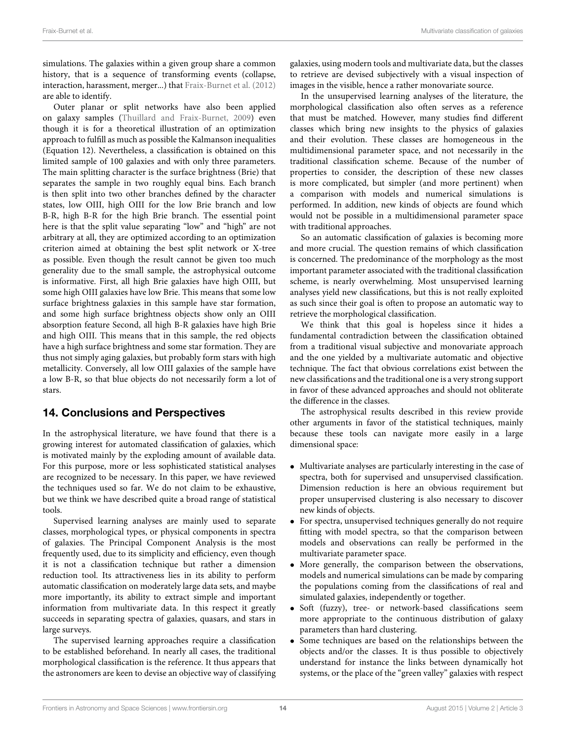simulations. The galaxies within a given group share a common history, that is a sequence of transforming events (collapse, interaction, harassment, merger...) that Fraix-Burnet et al. (2012) are able to identify.

Outer planar or split networks have also been applied on galaxy samples (Thuillard and Fraix-Burnet, 2009) even though it is for a theoretical illustration of an optimization approach to fulfill as much as possible the Kalmanson inequalities (Equation 12). Nevertheless, a classification is obtained on this limited sample of 100 galaxies and with only three parameters. The main splitting character is the surface brightness (Brie) that separates the sample in two roughly equal bins. Each branch is then split into two other branches defined by the character states, low OIII, high OIII for the low Brie branch and low B-R, high B-R for the high Brie branch. The essential point here is that the split value separating "low" and "high" are not arbitrary at all, they are optimized according to an optimization criterion aimed at obtaining the best split network or X-tree as possible. Even though the result cannot be given too much generality due to the small sample, the astrophysical outcome is informative. First, all high Brie galaxies have high OIII, but some high OIII galaxies have low Brie. This means that some low surface brightness galaxies in this sample have star formation, and some high surface brightness objects show only an OIII absorption feature Second, all high B-R galaxies have high Brie and high OIII. This means that in this sample, the red objects have a high surface brightness and some star formation. They are thus not simply aging galaxies, but probably form stars with high metallicity. Conversely, all low OIII galaxies of the sample have a low B-R, so that blue objects do not necessarily form a lot of stars.

# 14. Conclusions and Perspectives

In the astrophysical literature, we have found that there is a growing interest for automated classification of galaxies, which is motivated mainly by the exploding amount of available data. For this purpose, more or less sophisticated statistical analyses are recognized to be necessary. In this paper, we have reviewed the techniques used so far. We do not claim to be exhaustive, but we think we have described quite a broad range of statistical tools.

Supervised learning analyses are mainly used to separate classes, morphological types, or physical components in spectra of galaxies. The Principal Component Analysis is the most frequently used, due to its simplicity and efficiency, even though it is not a classification technique but rather a dimension reduction tool. Its attractiveness lies in its ability to perform automatic classification on moderately large data sets, and maybe more importantly, its ability to extract simple and important information from multivariate data. In this respect it greatly succeeds in separating spectra of galaxies, quasars, and stars in large surveys.

The supervised learning approaches require a classification to be established beforehand. In nearly all cases, the traditional morphological classification is the reference. It thus appears that the astronomers are keen to devise an objective way of classifying galaxies, using modern tools and multivariate data, but the classes to retrieve are devised subjectively with a visual inspection of images in the visible, hence a rather monovariate source.

In the unsupervised learning analyses of the literature, the morphological classification also often serves as a reference that must be matched. However, many studies find different classes which bring new insights to the physics of galaxies and their evolution. These classes are homogeneous in the multidimensional parameter space, and not necessarily in the traditional classification scheme. Because of the number of properties to consider, the description of these new classes is more complicated, but simpler (and more pertinent) when a comparison with models and numerical simulations is performed. In addition, new kinds of objects are found which would not be possible in a multidimensional parameter space with traditional approaches.

So an automatic classification of galaxies is becoming more and more crucial. The question remains of which classification is concerned. The predominance of the morphology as the most important parameter associated with the traditional classification scheme, is nearly overwhelming. Most unsupervised learning analyses yield new classifications, but this is not really exploited as such since their goal is often to propose an automatic way to retrieve the morphological classification.

We think that this goal is hopeless since it hides a fundamental contradiction between the classification obtained from a traditional visual subjective and monovariate approach and the one yielded by a multivariate automatic and objective technique. The fact that obvious correlations exist between the new classifications and the traditional one is a very strong support in favor of these advanced approaches and should not obliterate the difference in the classes.

The astrophysical results described in this review provide other arguments in favor of the statistical techniques, mainly because these tools can navigate more easily in a large dimensional space:

- Multivariate analyses are particularly interesting in the case of spectra, both for supervised and unsupervised classification. Dimension reduction is here an obvious requirement but proper unsupervised clustering is also necessary to discover new kinds of objects.
- For spectra, unsupervised techniques generally do not require fitting with model spectra, so that the comparison between models and observations can really be performed in the multivariate parameter space.
- More generally, the comparison between the observations, models and numerical simulations can be made by comparing the populations coming from the classifications of real and simulated galaxies, independently or together.
- Soft (fuzzy), tree- or network-based classifications seem more appropriate to the continuous distribution of galaxy parameters than hard clustering.
- Some techniques are based on the relationships between the objects and/or the classes. It is thus possible to objectively understand for instance the links between dynamically hot systems, or the place of the "green valley" galaxies with respect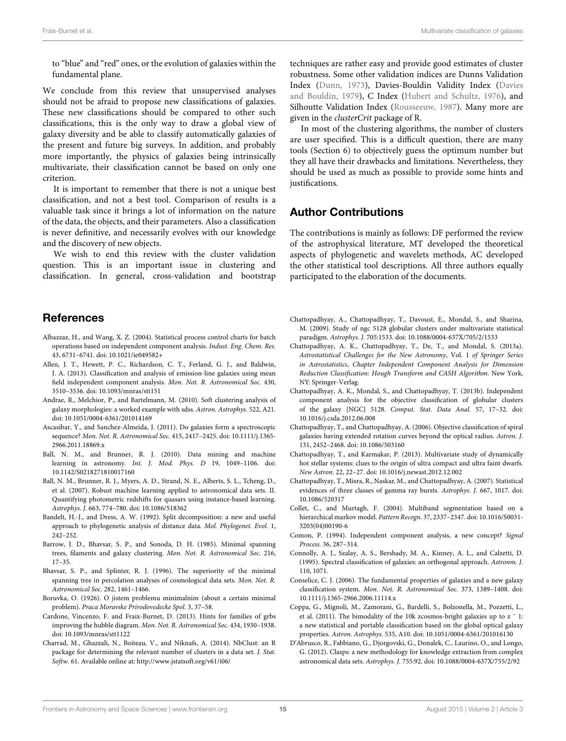to "blue" and "red" ones, or the evolution of galaxies within the fundamental plane.

We conclude from this review that unsupervised analyses should not be afraid to propose new classifications of galaxies. These new classifications should be compared to other such classifications, this is the only way to draw a global view of galaxy diversity and be able to classify automatically galaxies of the present and future big surveys. In addition, and probably more importantly, the physics of galaxies being intrinsically multivariate, their classification cannot be based on only one criterion.

It is important to remember that there is not a unique best classification, and not a best tool. Comparison of results is a valuable task since it brings a lot of information on the nature of the data, the objects, and their parameters. Also a classification is never definitive, and necessarily evolves with our knowledge and the discovery of new objects.

We wish to end this review with the cluster validation question. This is an important issue in clustering and classification. In general, cross-validation and bootstrap

## References

- Albazzaz, H., and Wang, X. Z. (2004). Statistical process control charts for batch operations based on independent component analysis. Indust. Eng. Chem. Res. 43, 6731–6741. doi: 10.1021/ie049582+
- Allen, J. T., Hewett, P. C., Richardson, C. T., Ferland, G. J., and Baldwin, J. A. (2013). Classification and analysis of emission-line galaxies using mean field independent component analysis. Mon. Not. R. Astronomical Soc. 430, 3510–3536. doi: 10.1093/mnras/stt151
- Andrae, R., Melchior, P., and Bartelmann, M. (2010). Soft clustering analysis of galaxy morphologies: a worked example with sdss. Astron. Astrophys. 522, A21. doi: 10.1051/0004-6361/201014169
- Ascasibar, Y., and Sanchez-Almeida, J. (2011). Do galaxies form a spectroscopic sequence? Mon. Not. R. Astronomical Soc. 415, 2417–2425. doi: 10.1111/j.1365- 2966.2011.18869.x
- Ball, N. M., and Brunner, R. J. (2010). Data mining and machine learning in astronomy. Int. J. Mod. Phys. D 19, 1049–1106. doi: 10.1142/S0218271810017160
- Ball, N. M., Brunner, R. J., Myers, A. D., Strand, N. E., Alberts, S. L., Tcheng, D., et al. (2007). Robust machine learning applied to astronomical data sets. II. Quantifying photometric redshifts for quasars using instance-based learning. Astrophys. J. 663, 774–780. doi: 10.1086/518362
- Bandelt, H.-J., and Dress, A. W. (1992). Split decomposition: a new and useful approach to phylogenetic analysis of distance data. Mol. Phylogenet. Evol. 1, 242–252.
- Barrow, J. D., Bhavsar, S. P., and Sonoda, D. H. (1985). Minimal spanning trees, filaments and galaxy clustering. Mon. Not. R. Astronomical Soc. 216, 17–35.
- Bhavsar, S. P., and Splinter, R. J. (1996). The superiority of the minimal spanning tree in percolation analyses of cosmological data sets. Mon. Not. R. Astronomical Soc. 282, 1461–1466.
- Boruvka, O. (1926). O jistem problemu minimalnim (about a certain minimal problem). Praca Moravske Prirodovedecke Spol. 3, 37–58.
- Cardone, Vincenzo, F. and Fraix-Burnet, D. (2013). Hints for families of grbs improving the hubble diagram. Mon. Not. R. Astronomical Soc. 434, 1930–1938. doi: 10.1093/mnras/stt1122
- Charrad, M., Ghazzali, N., Boiteau, V., and Niknafs, A. (2014). NbClust: an R package for determining the relevant number of clusters in a data set. J. Stat. Softw. 61. Available online at: http://www.jstatsoft.org/v61/i06/

techniques are rather easy and provide good estimates of cluster robustness. Some other validation indices are Dunns Validation Index (Dunn, 1973), Davies-Bouldin Validity Index (Davies and Bouldin, 1979), C Index (Hubert and Schultz, 1976), and Silhoutte Validation Index (Rousseeuw, 1987). Many more are given in the clusterCrit package of R.

In most of the clustering algorithms, the number of clusters are user specified. This is a difficult question, there are many tools (Section 6) to objectively guess the optimum number but they all have their drawbacks and limitations. Nevertheless, they should be used as much as possible to provide some hints and justifications.

# Author Contributions

The contributions is mainly as follows: DF performed the review of the astrophysical literature, MT developed the theoretical aspects of phylogenetic and wavelets methods, AC developed the other statistical tool descriptions. All three authors equally participated to the elaboration of the documents.

- Chattopadhyay, A., Chattopadhyay, T., Davoust, E., Mondal, S., and Sharina, M. (2009). Study of ngc 5128 globular clusters under multivariate statistical paradigm. Astrophys. J. 705:1533. doi: 10.1088/0004-637X/705/2/1533
- Chattopadhyay, A. K., Chattopadhyay, T., De, T., and Mondal, S. (2013a). Astrostatistical Challenges for the New Astronomy, Vol. 1 of Springer Series in Astrostatistics, Chapter Independent Component Analysis for Dimension Reduction Classification: Hough Transform and CASH Algorithm. New York, NY: Springer-Verlag.
- Chattopadhyay, A. K., Mondal, S., and Chattopadhyay, T. (2013b). Independent component analysis for the objective classification of globular clusters of the galaxy {NGC} 5128. Comput. Stat. Data Anal. 57, 17–32. doi: 10.1016/j.csda.2012.06.008
- Chattopadhyay, T., and Chattopadhyay, A. (2006). Objective classification of spiral galaxies having extended rotation curves beyond the optical radius. Astron. J. 131, 2452–2468. doi: 10.1086/503160
- Chattopadhyay, T., and Karmakar, P. (2013). Multivariate study of dynamically hot stellar systems: clues to the origin of ultra compact and ultra faint dwarfs. New Astron. 22, 22–27. doi: 10.1016/j.newast.2012.12.002
- Chattopadhyay, T., Misra, R., Naskar, M., and Chattopadhyay, A. (2007). Statistical evidences of three classes of gamma ray bursts. Astrophys. J. 667, 1017. doi: 10.1086/520317
- Collet, C., and Murtagh, F. (2004). Multiband segmentation based on a hierarchical markov model. Pattern Recogn. 37, 2337–2347. doi: 10.1016/S0031- 3203(04)00190-6
- Comon, P. (1994). Independent component analysis, a new concept? Signal Process. 36, 287–314.
- Connolly, A. J., Szalay, A. S., Bershady, M. A., Kinney, A. L., and Calzetti, D. (1995). Spectral classification of galaxies: an orthogonal approach. Astronm. J. 110, 1071.
- Conselice, C. J. (2006). The fundamental properties of galaxies and a new galaxy classification system. Mon. Not. R. Astronomical Soc. 373, 1389–1408. doi: 10.1111/j.1365-2966.2006.11114.x
- Coppa, G., Mignoli, M., Zamorani, G., Bardelli, S., Bolzonella, M., Pozzetti, L., et al. (2011). The bimodality of the 10k zcosmos-bright galaxies up to z ˜ 1: a new statistical and portable classification based on the global optical galaxy properties. Astron. Astrophys. 535, A10. doi: 10.1051/0004-6361/201016130
- D'Abrusco, R., Fabbiano, G., Djorgovski, G., Donalek, C., Laurino, O., and Longo, G. (2012). Clasps: a new methodology for knowledge extraction from complex astronomical data sets. Astrophys. J. 755:92. doi: 10.1088/0004-637X/755/2/92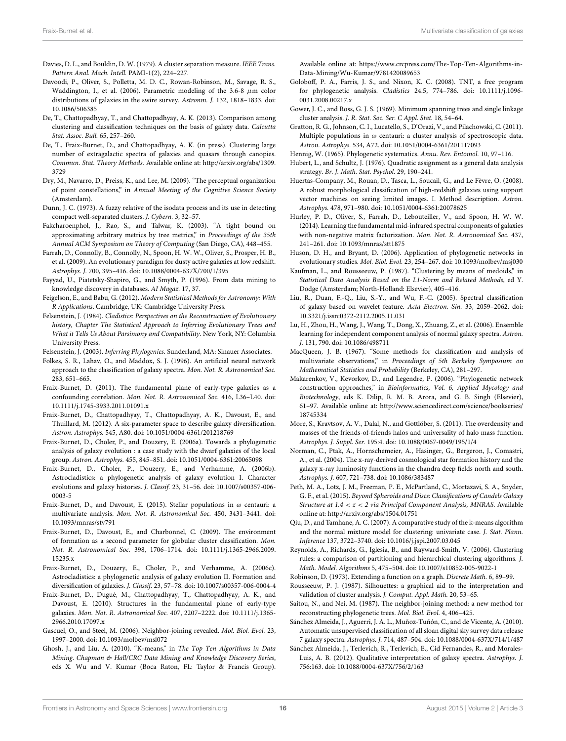- Davies, D. L., and Bouldin, D. W. (1979). A cluster separation measure. IEEE Trans. Pattern Anal. Mach. Intell. PAMI-1(2), 224–227.
- Davoodi, P., Oliver, S., Polletta, M. D. C., Rowan-Robinson, M., Savage, R. S., Waddington, I., et al. (2006). Parametric modeling of the 3.6-8  $\mu$ m color distributions of galaxies in the swire survey. Astronm. J. 132, 1818–1833. doi: 10.1086/506385
- De, T., Chattopadhyay, T., and Chattopadhyay, A. K. (2013). Comparison among clustering and classification techniques on the basis of galaxy data. Calcutta Stat. Assoc. Bull. 65, 257–260.
- De, T., Fraix-Burnet, D., and Chattopadhyay, A. K. (in press). Clustering large number of extragalactic spectra of galaxies and quasars through canopies. Commun. Stat. Theory Methods. Available online at: http://arxiv.org/abs/1309. 3729
- Dry, M., Navarro, D., Preiss, K., and Lee, M. (2009). "The perceptual organization of point constellations," in Annual Meeting of the Cognitive Science Society (Amsterdam).
- Dunn, J. C. (1973). A fuzzy relative of the isodata process and its use in detecting compact well-separated clusters. J. Cybern. 3, 32–57.
- Fakcharoenphol, J., Rao, S., and Talwar, K. (2003). "A tight bound on approximating arbitrary metrics by tree metrics," in Proceedings of the 35th Annual ACM Symposium on Theory of Computing (San Diego, CA), 448–455.
- Farrah, D., Connolly, B., Connolly, N., Spoon, H. W. W., Oliver, S., Prosper, H. B., et al. (2009). An evolutionary paradigm for dusty active galaxies at low redshift. Astrophys. J. 700, 395–416. doi: 10.1088/0004-637X/700/1/395
- Fayyad, U., Piatetsky-Shapiro, G., and Smyth, P. (1996). From data mining to knowledge discovery in databases. AI Magaz. 17, 37.
- Feigelson, E., and Babu, G. (2012). Modern Statistical Methods for Astronomy: With R Applications. Cambridge, UK: Cambridge University Press.
- Felsenstein, J. (1984). Cladistics: Perspectives on the Reconstruction of Evolutionary history, Chapter The Statistical Approach to Inferring Evolutionary Trees and What it Tells Us About Parsimony and Compatibility. New York, NY: Columbia University Press.
- Felsenstein, J. (2003). Inferring Phylogenies. Sunderland, MA: Sinauer Associates.
- Folkes, S. R., Lahav, O., and Maddox, S. J. (1996). An artificial neural network approach to the classification of galaxy spectra. Mon. Not. R. Astronomical Soc. 283, 651–665.
- Fraix-Burnet, D. (2011). The fundamental plane of early-type galaxies as a confounding correlation. Mon. Not. R. Astronomical Soc. 416, L36–L40. doi: 10.1111/j.1745-3933.2011.01091.x
- Fraix-Burnet, D., Chattopadhyay, T., Chattopadhyay, A. K., Davoust, E., and Thuillard, M. (2012). A six-parameter space to describe galaxy diversification. Astron. Astrophys. 545, A80. doi: 10.1051/0004-6361/201218769
- Fraix-Burnet, D., Choler, P., and Douzery, E. (2006a). Towards a phylogenetic analysis of galaxy evolution : a case study with the dwarf galaxies of the local group. Astron. Astrophys. 455, 845–851. doi: 10.1051/0004-6361:20065098
- Fraix-Burnet, D., Choler, P., Douzery, E., and Verhamme, A. (2006b). Astrocladistics: a phylogenetic analysis of galaxy evolution I. Character evolutions and galaxy histories. J. Classif. 23, 31–56. doi: 10.1007/s00357-006- 0003-5
- Fraix-Burnet, D., and Davoust, E. (2015). Stellar populations in  $\omega$  centauri: a multivariate analysis. Mon. Not. R. Astronomical Soc. 450, 3431–3441. doi: 10.1093/mnras/stv791
- Fraix-Burnet, D., Davoust, E., and Charbonnel, C. (2009). The environment of formation as a second parameter for globular cluster classification. Mon. Not. R. Astronomical Soc. 398, 1706–1714. doi: 10.1111/j.1365-2966.2009. 15235.x
- Fraix-Burnet, D., Douzery, E., Choler, P., and Verhamme, A. (2006c). Astrocladistics: a phylogenetic analysis of galaxy evolution II. Formation and diversification of galaxies. J. Classif. 23, 57–78. doi: 10.1007/s00357-006-0004-4
- Fraix-Burnet, D., Dugué, M., Chattopadhyay, T., Chattopadhyay, A. K., and Davoust, E. (2010). Structures in the fundamental plane of early-type galaxies. Mon. Not. R. Astronomical Soc. 407, 2207–2222. doi: 10.1111/j.1365- 2966.2010.17097.x
- Gascuel, O., and Steel, M. (2006). Neighbor-joining revealed. Mol. Biol. Evol. 23, 1997–2000. doi: 10.1093/molbev/msl072
- Ghosh, J., and Liu, A. (2010). "K-means," in The Top Ten Algorithms in Data Mining. Chapman & Hall/CRC Data Mining and Knowledge Discovery Series, eds X. Wu and V. Kumar (Boca Raton, FL: Taylor & Francis Group).

Available online at: https://www.crcpress.com/The-Top-Ten-Algorithms-in-Data-Mining/Wu-Kumar/9781420089653

- Goloboff, P. A., Farris, J. S., and Nixon, K. C. (2008). TNT, a free program for phylogenetic analysis. Cladistics 24.5, 774–786. doi: 10.1111/j.1096- 0031.2008.00217.x
- Gower, J. C., and Ross, G. J. S. (1969). Minimum spanning trees and single linkage cluster analysis. J. R. Stat. Soc. Ser. C Appl. Stat. 18, 54–64.
- Gratton, R. G., Johnson, C. I., Lucatello, S., D'Orazi, V., and Pilachowski, C. (2011). Multiple populations in  $\omega$  centauri: a cluster analysis of spectroscopic data. Astron. Astrophys. 534, A72. doi: 10.1051/0004-6361/201117093
- Hennig, W. (1965). Phylogenetic systematics. Annu. Rev. Entomol. 10, 97–116.
- Hubert, L., and Schultz, J. (1976). Quadratic assignment as a general data analysis strategy. Br. J. Math. Stat. Psychol. 29, 190–241.
- Huertas-Company, M., Rouan, D., Tasca, L., Soucail, G., and Le Fèvre, O. (2008). A robust morphological classification of high-redshift galaxies using support vector machines on seeing limited images. I. Method description. Astron. Astrophys. 478, 971–980. doi: 10.1051/0004-6361:20078625
- Hurley, P. D., Oliver, S., Farrah, D., Lebouteiller, V., and Spoon, H. W. W. (2014). Learning the fundamental mid-infrared spectral components of galaxies with non-negative matrix factorization. Mon. Not. R. Astronomical Soc. 437, 241–261. doi: 10.1093/mnras/stt1875
- Huson, D. H., and Bryant, D. (2006). Application of phylogenetic networks in evolutionary studies. Mol. Biol. Evol. 23, 254–267. doi: 10.1093/molbev/msj030
- Kaufman, L., and Rousseeuw, P. (1987). "Clustering by means of medoids," in Statistical Data Analysis Based on the L1-Norm and Related Methods, ed Y. Dodge (Amsterdam; North-Holland: Elsevier), 405–416.
- Liu, R., Duan, F.-Q., Liu, S.-Y., and Wu, F.-C. (2005). Spectral classification of galaxy based on wavelet feature. Acta Electron. Sin. 33, 2059–2062. doi: 10.3321/j.issn:0372-2112.2005.11.031
- Lu, H., Zhou, H., Wang, J., Wang, T., Dong, X., Zhuang, Z., et al. (2006). Ensemble learning for independent component analysis of normal galaxy spectra. Astron. J. 131, 790. doi: 10.1086/498711
- MacQueen, J. B. (1967). "Some methods for classification and analysis of multivariate observations," in Proceedings of 5th Berkeley Symposium on Mathematical Statistics and Probability (Berkeley, CA), 281–297.
- Makarenkov, V., Kevorkov, D., and Legendre, P. (2006). "Phylogenetic network construction approaches," in Bioinformatics, Vol. 6, Applied Mycology and Biotechnology, eds K. Dilip, R. M. B. Arora, and G. B. Singh (Elsevier), 61–97. Available online at: http://www.sciencedirect.com/science/bookseries/ 18745334
- More, S., Kravtsov, A. V., Dalal, N., and Gottlöber, S. (2011). The overdensity and masses of the friends-of-friends halos and universality of halo mass function. Astrophys. J. Suppl. Ser. 195:4. doi: 10.1088/0067-0049/195/1/4
- Norman, C., Ptak, A., Hornschemeier, A., Hasinger, G., Bergeron, J., Comastri, A., et al. (2004). The x-ray-derived cosmological star formation history and the galaxy x-ray luminosity functions in the chandra deep fields north and south. Astrophys. J. 607, 721–738. doi: 10.1086/383487
- Peth, M. A., Lotz, J. M., Freeman, P. E., McPartland, C., Mortazavi, S. A., Snyder, G. F., et al. (2015). Beyond Spheroids and Discs: Classifications of Candels Galaxy Structure at 1.4 < z < 2 via Principal Component Analysis, MNRAS. Available online at: http://arxiv.org/abs/1504.01751
- Qiu, D., and Tamhane, A. C. (2007). A comparative study of the k-means algorithm and the normal mixture model for clustering: univariate case. J. Stat. Plann. Inference 137, 3722–3740. doi: 10.1016/j.jspi.2007.03.045
- Reynolds, A., Richards, G., Iglesia, B., and Rayward-Smith, V. (2006). Clustering rules: a comparison of partitioning and hierarchical clustering algorithms. J. Math. Model. Algorithms 5, 475–504. doi: 10.1007/s10852-005-9022-1
- Robinson, D. (1973). Extending a function on a graph. Discrete Math. 6, 89–99.
- Rousseeuw, P. J. (1987). Silhouettes: a graphical aid to the interpretation and validation of cluster analysis. J. Comput. Appl. Math. 20, 53–65.
- Saitou, N., and Nei, M. (1987). The neighbor-joining method: a new method for reconstructing phylogenetic trees. Mol. Biol. Evol. 4, 406–425.
- Sánchez Almeida, J., Aguerri, J. A. L., Muñoz-Tuñón, C., and de Vicente, A. (2010). Automatic unsupervised classification of all sloan digital sky survey data release 7 galaxy spectra. Astrophys. J. 714, 487–504. doi: 10.1088/0004-637X/714/1/487
- Sánchez Almeida, J., Terlevich, R., Terlevich, E., Cid Fernandes, R., and Morales-Luis, A. B. (2012). Qualitative interpretation of galaxy spectra. Astrophys. J. 756:163. doi: 10.1088/0004-637X/756/2/163